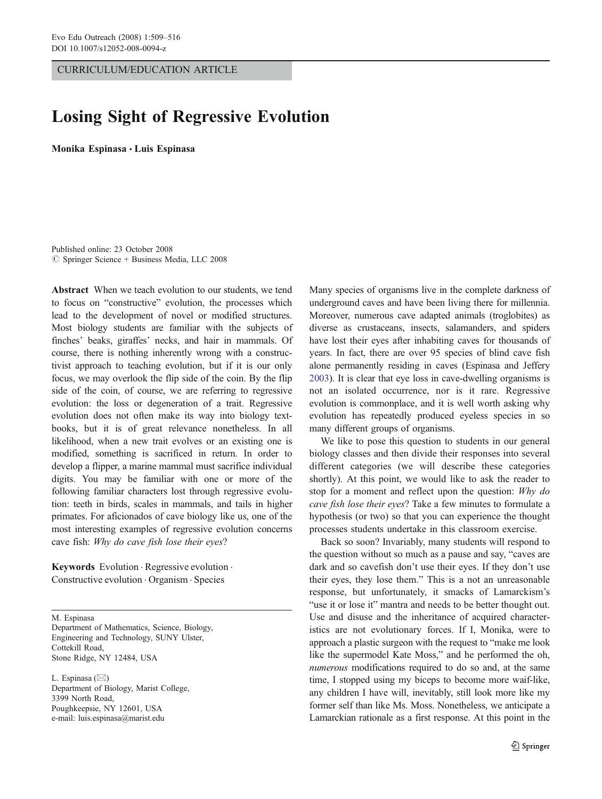CURRICULUM/EDUCATION ARTICLE

## Losing Sight of Regressive Evolution

Monika Espinasa *&* Luis Espinasa

Published online: 23 October 2008  $\circledcirc$  Springer Science + Business Media, LLC 2008

Abstract When we teach evolution to our students, we tend to focus on "constructive" evolution, the processes which lead to the development of novel or modified structures. Most biology students are familiar with the subjects of finches' beaks, giraffes' necks, and hair in mammals. Of course, there is nothing inherently wrong with a constructivist approach to teaching evolution, but if it is our only focus, we may overlook the flip side of the coin. By the flip side of the coin, of course, we are referring to regressive evolution: the loss or degeneration of a trait. Regressive evolution does not often make its way into biology textbooks, but it is of great relevance nonetheless. In all likelihood, when a new trait evolves or an existing one is modified, something is sacrificed in return. In order to develop a flipper, a marine mammal must sacrifice individual digits. You may be familiar with one or more of the following familiar characters lost through regressive evolution: teeth in birds, scales in mammals, and tails in higher primates. For aficionados of cave biology like us, one of the most interesting examples of regressive evolution concerns cave fish: Why do cave fish lose their eyes?

Keywords Evolution . Regressive evolution . Constructive evolution . Organism . Species

M. Espinasa

Department of Mathematics, Science, Biology, Engineering and Technology, SUNY Ulster, Cottekill Road, Stone Ridge, NY 12484, USA

L. Espinasa (*\**) Department of Biology, Marist College, 3399 North Road, Poughkeepsie, NY 12601, USA e-mail: luis.espinasa@marist.edu

Many species of organisms live in the complete darkness of underground caves and have been living there for millennia. Moreover, numerous cave adapted animals (troglobites) as diverse as crustaceans, insects, salamanders, and spiders have lost their eyes after inhabiting caves for thousands of years. In fact, there are over 95 species of blind cave fish alone permanently residing in caves (Espinasa and Jeffery [2003\)](#page-6-0). It is clear that eye loss in cave-dwelling organisms is not an isolated occurrence, nor is it rare. Regressive evolution is commonplace, and it is well worth asking why evolution has repeatedly produced eyeless species in so many different groups of organisms.

We like to pose this question to students in our general biology classes and then divide their responses into several different categories (we will describe these categories shortly). At this point, we would like to ask the reader to stop for a moment and reflect upon the question: Why do cave fish lose their eyes? Take a few minutes to formulate a hypothesis (or two) so that you can experience the thought processes students undertake in this classroom exercise.

Back so soon? Invariably, many students will respond to the question without so much as a pause and say, "caves are dark and so cavefish don't use their eyes. If they don't use their eyes, they lose them." This is a not an unreasonable response, but unfortunately, it smacks of Lamarckism's "use it or lose it" mantra and needs to be better thought out. Use and disuse and the inheritance of acquired characteristics are not evolutionary forces. If I, Monika, were to approach a plastic surgeon with the request to "make me look like the supermodel Kate Moss," and he performed the oh, numerous modifications required to do so and, at the same time, I stopped using my biceps to become more waif-like, any children I have will, inevitably, still look more like my former self than like Ms. Moss. Nonetheless, we anticipate a Lamarckian rationale as a first response. At this point in the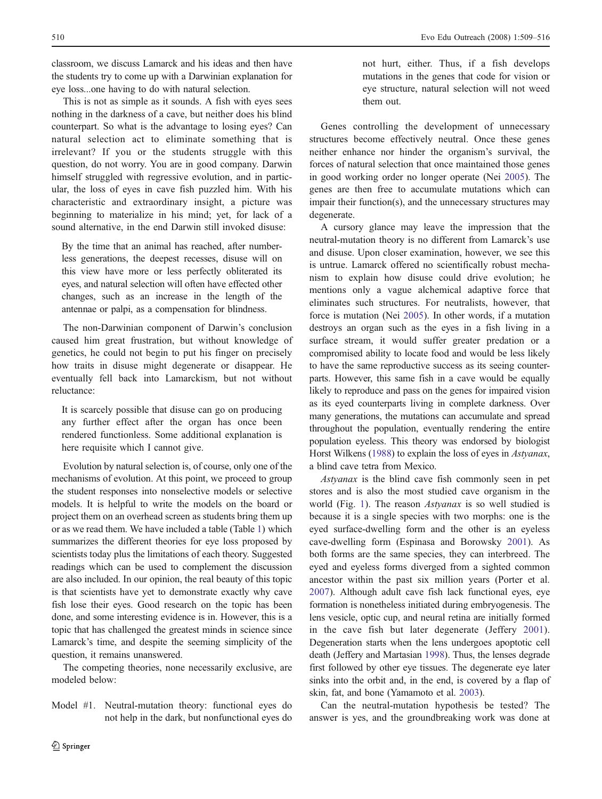classroom, we discuss Lamarck and his ideas and then have the students try to come up with a Darwinian explanation for eye loss...one having to do with natural selection.

This is not as simple as it sounds. A fish with eyes sees nothing in the darkness of a cave, but neither does his blind counterpart. So what is the advantage to losing eyes? Can natural selection act to eliminate something that is irrelevant? If you or the students struggle with this question, do not worry. You are in good company. Darwin himself struggled with regressive evolution, and in particular, the loss of eyes in cave fish puzzled him. With his characteristic and extraordinary insight, a picture was beginning to materialize in his mind; yet, for lack of a sound alternative, in the end Darwin still invoked disuse:

By the time that an animal has reached, after numberless generations, the deepest recesses, disuse will on this view have more or less perfectly obliterated its eyes, and natural selection will often have effected other changes, such as an increase in the length of the antennae or palpi, as a compensation for blindness.

The non-Darwinian component of Darwin's conclusion caused him great frustration, but without knowledge of genetics, he could not begin to put his finger on precisely how traits in disuse might degenerate or disappear. He eventually fell back into Lamarckism, but not without reluctance:

It is scarcely possible that disuse can go on producing any further effect after the organ has once been rendered functionless. Some additional explanation is here requisite which I cannot give.

Evolution by natural selection is, of course, only one of the mechanisms of evolution. At this point, we proceed to group the student responses into nonselective models or selective models. It is helpful to write the models on the board or project them on an overhead screen as students bring them up or as we read them. We have included a table (Table [1](#page-3-0)) which summarizes the different theories for eye loss proposed by scientists today plus the limitations of each theory. Suggested readings which can be used to complement the discussion are also included. In our opinion, the real beauty of this topic is that scientists have yet to demonstrate exactly why cave fish lose their eyes. Good research on the topic has been done, and some interesting evidence is in. However, this is a topic that has challenged the greatest minds in science since Lamarck's time, and despite the seeming simplicity of the question, it remains unanswered.

The competing theories, none necessarily exclusive, are modeled below:

Model #1. Neutral-mutation theory: functional eyes do not help in the dark, but nonfunctional eyes do not hurt, either. Thus, if a fish develops mutations in the genes that code for vision or eye structure, natural selection will not weed them out.

Genes controlling the development of unnecessary structures become effectively neutral. Once these genes neither enhance nor hinder the organism's survival, the forces of natural selection that once maintained those genes in good working order no longer operate (Nei [2005](#page-7-0)). The genes are then free to accumulate mutations which can impair their function(s), and the unnecessary structures may degenerate.

A cursory glance may leave the impression that the neutral-mutation theory is no different from Lamarck's use and disuse. Upon closer examination, however, we see this is untrue. Lamarck offered no scientifically robust mechanism to explain how disuse could drive evolution; he mentions only a vague alchemical adaptive force that eliminates such structures. For neutralists, however, that force is mutation (Nei [2005](#page-7-0)). In other words, if a mutation destroys an organ such as the eyes in a fish living in a surface stream, it would suffer greater predation or a compromised ability to locate food and would be less likely to have the same reproductive success as its seeing counterparts. However, this same fish in a cave would be equally likely to reproduce and pass on the genes for impaired vision as its eyed counterparts living in complete darkness. Over many generations, the mutations can accumulate and spread throughout the population, eventually rendering the entire population eyeless. This theory was endorsed by biologist Horst Wilkens ([1988](#page-7-0)) to explain the loss of eyes in Astyanax, a blind cave tetra from Mexico.

Astyanax is the blind cave fish commonly seen in pet stores and is also the most studied cave organism in the world (Fig. [1](#page-5-0)). The reason *Astyanax* is so well studied is because it is a single species with two morphs: one is the eyed surface-dwelling form and the other is an eyeless cave-dwelling form (Espinasa and Borowsky [2001](#page-6-0)). As both forms are the same species, they can interbreed. The eyed and eyeless forms diverged from a sighted common ancestor within the past six million years (Porter et al. [2007](#page-7-0)). Although adult cave fish lack functional eyes, eye formation is nonetheless initiated during embryogenesis. The lens vesicle, optic cup, and neural retina are initially formed in the cave fish but later degenerate (Jeffery [2001](#page-7-0)). Degeneration starts when the lens undergoes apoptotic cell death (Jeffery and Martasian [1998\)](#page-7-0). Thus, the lenses degrade first followed by other eye tissues. The degenerate eye later sinks into the orbit and, in the end, is covered by a flap of skin, fat, and bone (Yamamoto et al. [2003](#page-7-0)).

Can the neutral-mutation hypothesis be tested? The answer is yes, and the groundbreaking work was done at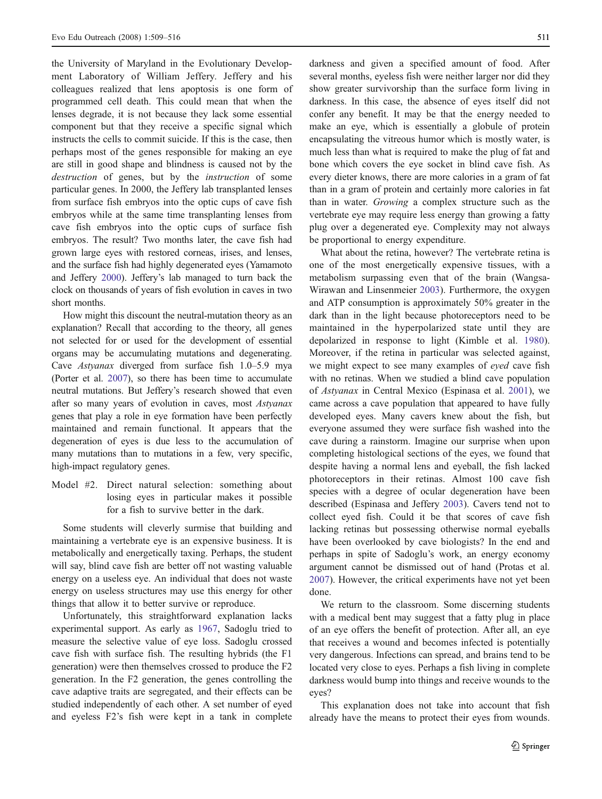the University of Maryland in the Evolutionary Development Laboratory of William Jeffery. Jeffery and his colleagues realized that lens apoptosis is one form of programmed cell death. This could mean that when the lenses degrade, it is not because they lack some essential component but that they receive a specific signal which instructs the cells to commit suicide. If this is the case, then perhaps most of the genes responsible for making an eye are still in good shape and blindness is caused not by the destruction of genes, but by the *instruction* of some particular genes. In 2000, the Jeffery lab transplanted lenses from surface fish embryos into the optic cups of cave fish embryos while at the same time transplanting lenses from cave fish embryos into the optic cups of surface fish embryos. The result? Two months later, the cave fish had grown large eyes with restored corneas, irises, and lenses, and the surface fish had highly degenerated eyes (Yamamoto and Jeffery [2000\)](#page-7-0). Jeffery's lab managed to turn back the clock on thousands of years of fish evolution in caves in two short months.

How might this discount the neutral-mutation theory as an explanation? Recall that according to the theory, all genes not selected for or used for the development of essential organs may be accumulating mutations and degenerating. Cave Astyanax diverged from surface fish 1.0–5.9 mya (Porter et al. [2007](#page-7-0)), so there has been time to accumulate neutral mutations. But Jeffery's research showed that even after so many years of evolution in caves, most Astyanax genes that play a role in eye formation have been perfectly maintained and remain functional. It appears that the degeneration of eyes is due less to the accumulation of many mutations than to mutations in a few, very specific, high-impact regulatory genes.

Model #2. Direct natural selection: something about losing eyes in particular makes it possible for a fish to survive better in the dark.

Some students will cleverly surmise that building and maintaining a vertebrate eye is an expensive business. It is metabolically and energetically taxing. Perhaps, the student will say, blind cave fish are better off not wasting valuable energy on a useless eye. An individual that does not waste energy on useless structures may use this energy for other things that allow it to better survive or reproduce.

Unfortunately, this straightforward explanation lacks experimental support. As early as [1967](#page-7-0), Sadoglu tried to measure the selective value of eye loss. Sadoglu crossed cave fish with surface fish. The resulting hybrids (the F1 generation) were then themselves crossed to produce the F2 generation. In the F2 generation, the genes controlling the cave adaptive traits are segregated, and their effects can be studied independently of each other. A set number of eyed and eyeless F2's fish were kept in a tank in complete darkness and given a specified amount of food. After several months, eyeless fish were neither larger nor did they show greater survivorship than the surface form living in darkness. In this case, the absence of eyes itself did not confer any benefit. It may be that the energy needed to make an eye, which is essentially a globule of protein encapsulating the vitreous humor which is mostly water, is much less than what is required to make the plug of fat and bone which covers the eye socket in blind cave fish. As every dieter knows, there are more calories in a gram of fat than in a gram of protein and certainly more calories in fat than in water. Growing a complex structure such as the vertebrate eye may require less energy than growing a fatty plug over a degenerated eye. Complexity may not always be proportional to energy expenditure.

What about the retina, however? The vertebrate retina is one of the most energetically expensive tissues, with a metabolism surpassing even that of the brain (Wangsa-Wirawan and Linsenmeier [2003](#page-7-0)). Furthermore, the oxygen and ATP consumption is approximately 50% greater in the dark than in the light because photoreceptors need to be maintained in the hyperpolarized state until they are depolarized in response to light (Kimble et al. [1980\)](#page-7-0). Moreover, if the retina in particular was selected against, we might expect to see many examples of eyed cave fish with no retinas. When we studied a blind cave population of Astyanax in Central Mexico (Espinasa et al. [2001](#page-6-0)), we came across a cave population that appeared to have fully developed eyes. Many cavers knew about the fish, but everyone assumed they were surface fish washed into the cave during a rainstorm. Imagine our surprise when upon completing histological sections of the eyes, we found that despite having a normal lens and eyeball, the fish lacked photoreceptors in their retinas. Almost 100 cave fish species with a degree of ocular degeneration have been described (Espinasa and Jeffery [2003\)](#page-6-0). Cavers tend not to collect eyed fish. Could it be that scores of cave fish lacking retinas but possessing otherwise normal eyeballs have been overlooked by cave biologists? In the end and perhaps in spite of Sadoglu's work, an energy economy argument cannot be dismissed out of hand (Protas et al. [2007](#page-7-0)). However, the critical experiments have not yet been done.

We return to the classroom. Some discerning students with a medical bent may suggest that a fatty plug in place of an eye offers the benefit of protection. After all, an eye that receives a wound and becomes infected is potentially very dangerous. Infections can spread, and brains tend to be located very close to eyes. Perhaps a fish living in complete darkness would bump into things and receive wounds to the eyes?

This explanation does not take into account that fish already have the means to protect their eyes from wounds.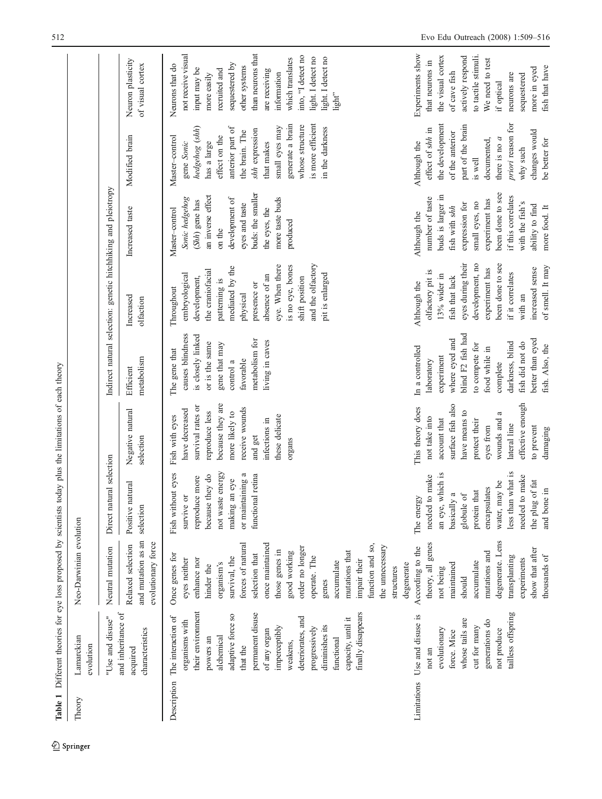| ı<br>l                |  |
|-----------------------|--|
|                       |  |
|                       |  |
|                       |  |
|                       |  |
|                       |  |
|                       |  |
| ;<br>;                |  |
|                       |  |
| a tar ava loca momono |  |
|                       |  |
| יי איט גי             |  |
|                       |  |
| i                     |  |
| $\ddot{\dotsc}$       |  |
| ļ                     |  |
| $\mathbf{a}$          |  |

<span id="page-3-0"></span>

| Theory      | Lamarckian<br>evolution                | Neo-Darwinian evolution                                       |                                  |                               |                         |                        |                                                                |                   |                                       |
|-------------|----------------------------------------|---------------------------------------------------------------|----------------------------------|-------------------------------|-------------------------|------------------------|----------------------------------------------------------------|-------------------|---------------------------------------|
|             | and inheritance of<br>"Use and disuse" | Neutral mutation                                              | Direct natural selection         |                               |                         |                        | Indirect natural selection: genetic hitchhiking and pleiotropy |                   |                                       |
|             | characteristics<br>acquired            | and mutation as an<br>evolutionary force<br>Relaxed selection | natural<br>selection<br>Positive | Negative natural<br>selection | metabolism<br>Efficient | Increased<br>olfaction | Increased taste                                                | Modified brain    | Neuron plasticity<br>of visual cortex |
|             |                                        |                                                               |                                  |                               |                         |                        |                                                                |                   |                                       |
| Description | The interaction of                     | Once genes for                                                | Fish without eyes                | Fish with eyes                | The gene that           | Throughout             | Master-control                                                 | Master-control    | Neurons that do                       |
|             | organisms with                         | eyes neither                                                  | survive or                       | have decreased                | causes blindness        | embryological          | Sonic hedgehog                                                 | gene Sonic        | not receive visual                    |
|             | their environment                      | enhance nor                                                   | reproduce more                   | survival rates or             | is closely linked       | development,           | (Shh) gene has                                                 | hedgehog (shh)    | input may be                          |
|             | powers an                              | hinder the                                                    | because they do                  | reproduce less                | or is the same          | the craniofacial       | an inverse effect                                              | has a large       | more easily                           |
|             | alchemical                             | organism's                                                    | not waste energy                 | because they are              | gene that may           | patterning is          | on the                                                         | effect on the     | recruited and                         |
|             | adaptive force so                      | survival, the                                                 | an eye<br>making                 | more likely to                | control a               | mediated by the        | development of                                                 | anterior part of  | sequestered by                        |
|             | that the                               | forces of natural                                             | or maintaining a                 | receive wounds                | favorable               | physical               | eyes and taste                                                 | the brain. The    | other systems                         |
|             | permanent disuse                       | selection that                                                | functional retina                | and get                       | metabolism for          | presence or            | buds: the smaller                                              | shh expression    | than neurons that                     |
|             | of any organ                           | once maintained                                               |                                  | infections in                 | living in caves         | absence of an          | the eyes, the                                                  | that makes        | are receiving                         |
|             | imperceptibly                          | those genes in                                                |                                  | these delicate                |                         | eye. When there        | more taste buds                                                | small eyes may    | information                           |
|             | weakens,                               | good working                                                  |                                  | organs                        |                         | is no eye, bones       | produced                                                       | generate a brain  | which translates                      |
|             | deteriorates, and                      | order no longer                                               |                                  |                               |                         | shift position         |                                                                | whose structure   | into, "I detect no                    |
|             | progressively                          | operate. The                                                  |                                  |                               |                         | and the olfactory      |                                                                | is more efficient | light. I detect no                    |
|             | diminishes its                         | genes                                                         |                                  |                               |                         | pit is enlarged        |                                                                | in the darkness   | light. I detect no                    |
|             | functional                             | accumulate                                                    |                                  |                               |                         |                        |                                                                |                   | light"                                |
|             | capacity, until it                     | mutations that                                                |                                  |                               |                         |                        |                                                                |                   |                                       |
|             | finally disappears                     | impair their                                                  |                                  |                               |                         |                        |                                                                |                   |                                       |
|             |                                        | function and so,                                              |                                  |                               |                         |                        |                                                                |                   |                                       |
|             |                                        | the unnecessary                                               |                                  |                               |                         |                        |                                                                |                   |                                       |
|             |                                        | structures                                                    |                                  |                               |                         |                        |                                                                |                   |                                       |
|             |                                        | degenerate                                                    |                                  |                               |                         |                        |                                                                |                   |                                       |
| Limitations | Use and disuse is                      | According to the                                              | The energy                       | This theory does              | In a controlled         | Although the           | Although the                                                   | Although the      | Experiments show                      |
|             | not an                                 | theory, all genes                                             | needed to make                   | not take into                 | laboratory              | olfactory pit is       | number of taste                                                | effect of shh in  | that neurons in                       |
|             | evolutionary                           | not being                                                     | an eye, which is                 | account that                  | experiment              | $13\%$ wider in        | buds is larger in                                              | the development   | the visual cortex                     |
|             | force. Mice                            | maintained                                                    | basically a                      | surface fish also             | where eyed and          | fish that lack         | fish with shh                                                  | of the anterior   | of cave fish                          |
|             | whose tails are                        | should                                                        | globule of                       | have means to                 | blind F2 fish had       | eyes during their      | expression for                                                 | part of the brain | actively respond                      |
|             | cut for many                           | accumulate                                                    | protein that                     | protect their                 | to compete for          | development, no        | small eyes, no                                                 | is well           | to tactile stimuli.                   |
|             | generations do                         | mutations and                                                 | encapsulates                     | eyes from                     | food while in           | experiment has         | experiment has                                                 | documented,       | We need to test                       |
|             | not produce                            | degenerate. Lens                                              | water, may be                    | wounds and a                  | complete                | been done to see       | been done to see                                               | there is no $a$   | if optical                            |
|             | tailless offspring                     | transplanting                                                 | less than what is                | lateral line                  | darkness, blind         | if it correlates       | if this correlates                                             | priori reason for | neurons are                           |
|             |                                        | experiments                                                   | needed to make                   | effective enough              | fish did not do         | with an                | with the fish's                                                | why such          | sequestered                           |
|             |                                        | show that after                                               | the plug of fat                  | to prevent                    | better than eyed        | increased sense        | ability to find                                                | changes would     | more in eyed                          |
|             |                                        | thousands of                                                  | and bone in                      | damaging                      | fish. Also, the         | of smell. It may       | more food. It                                                  | be better for     | fish that have                        |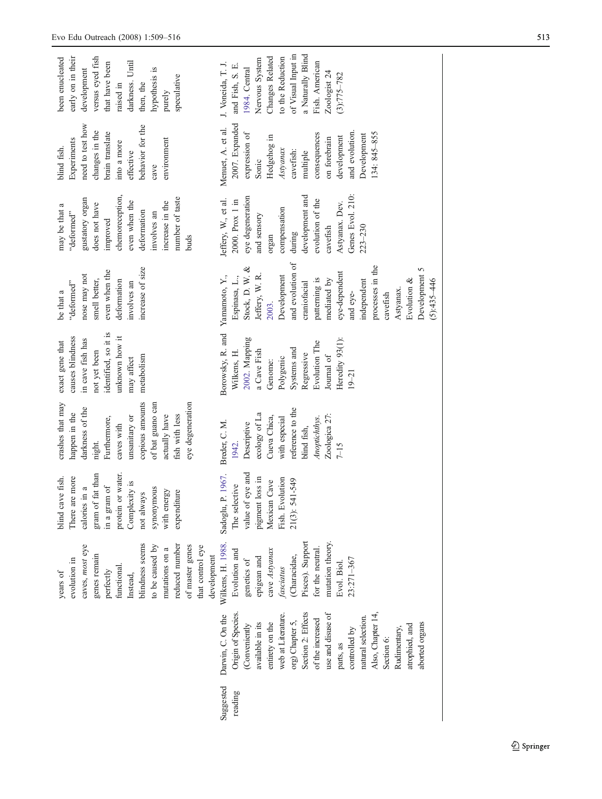| been enucleated<br>blind fish. | early on in their<br>Experiments | development<br>need to test how | versus eyed fish<br>changes in the | that have been<br>brain translate | raised in<br>into a more | darkness. Until<br>effective | then, the<br>behavior for the | hypothesis is<br>cave | purely<br>environment | speculative     |                  |                  |             | J. Voneida, T. J.<br>Menuet, A. et al. | and Fish, S. E.<br>2007. Expanded | 1984. Central<br>expression of | Nervous System<br>Sonic | Changes Related<br>Hedgehog in | to the Reduction<br>Astyanax | of Visual Input in<br>cavefish: | a Naturally Blind<br>multiple | Fish. American<br>consequences | Zoologist 24<br>on forebrain | $(3):775 - 782$<br>development | and evolution.   | Development        | 134: 845-855      |            |              |                |                |               |
|--------------------------------|----------------------------------|---------------------------------|------------------------------------|-----------------------------------|--------------------------|------------------------------|-------------------------------|-----------------------|-----------------------|-----------------|------------------|------------------|-------------|----------------------------------------|-----------------------------------|--------------------------------|-------------------------|--------------------------------|------------------------------|---------------------------------|-------------------------------|--------------------------------|------------------------------|--------------------------------|------------------|--------------------|-------------------|------------|--------------|----------------|----------------|---------------|
| may be that a                  | "deformed"                       | gustatory organ                 | does not have                      | improved                          | chemoreception,          | even when the                | deformation                   | involves an           | increase in the       | number of taste | buds             |                  |             | Jeffery, W., et al.                    | 2000. Prox 1 in                   | eye degeneration               | and sensory             | organ                          | compensation                 | during                          | development and               | evolution of the               | cavefish                     | Astyanax. Dev.                 | Genes Evol. 210: | $223 - 230$        |                   |            |              |                |                |               |
| be that a                      | "deformed"                       | nose may not                    | smell better,                      | even when the                     | deformation              | involves an                  | increase of size              |                       |                       |                 |                  |                  |             |                                        | Espinasa, L.,                     | Stock, D. W. &                 | Jeffery, W. R.          | 2003.                          | Development                  | and evolution of                | craniofacial                  | patterning is                  | mediated by                  | eye-dependent                  | and eye-         | independent        | processes in the  | cavefish   | Astyanax.    | Evolution &    | Development 5  | $(5):435-446$ |
| exact gene that                | causes blindness                 | in cave fish has                | not yet been                       | identified, so it is              | unknown how it           | may affect                   | metabolism                    |                       |                       |                 |                  |                  |             | Borowsky, R. and Yamamoto, Y.,         | Wilkens, H.                       | 2002. Mapping                  | a Cave Fish             | Genome:                        | Polygenic                    | Systems and                     | Regressive                    | Evolution The                  | Journal of                   | Heredity 93(1):                | $19 - 21$        |                    |                   |            |              |                |                |               |
| crashes that may               | happen in the                    | darkness of the                 | night.                             | Furthermore,                      | caves with               | unsanitary or                | copious amounts               | of bat guano can      | actually have         | fish with less  | eye degeneration |                  |             | Breder, C. M.                          | 1942.                             | Descriptive                    | ecology of La           | Cueva Chica,                   | with especial                | reference to the                | blind fish,                   | Anoptichthys.                  | Zoologica 27:                | $7 - 15$                       |                  |                    |                   |            |              |                |                |               |
| blind cave fish.               | There are more                   | calories in a                   | gram of fat than                   | in a gram of                      | protein or water.        | Complexity is                | not always                    | synonymous            | with energy           | expenditure     |                  |                  |             | Sadoglu, P. 1967.                      | The selective                     | value of eye and               | pigment loss in         | Mexican Cave                   | Fish. Evolution              | $21(3): 541-549$                |                               |                                |                              |                                |                  |                    |                   |            |              |                |                |               |
| years of                       | evolution in                     | caves, most eye                 | genes remain                       | perfectly                         | functional.              | Instead,                     | blindness seems               | to be caused by       | mutations on a        | reduced number  | of master genes  | that control eye | development | Wilkens, H. 1988.                      | Evolution and                     | genetics of                    | epigean and             | cave Astyanax                  | fasciatus                    | (Characidae,                    | Pisces). Support              | for the neutral.               | mutation theory.             | Evol. Biol.                    | 23:271-367       |                    |                   |            |              |                |                |               |
|                                |                                  |                                 |                                    |                                   |                          |                              |                               |                       |                       |                 |                  |                  |             | Darwin, C. On the                      | Origin of Species.                | (Conveniently                  | available in its        | entirety on the                | web at Literature.           | org) Chapter 5,                 | Section 2: Effects            | of the increased               | use and disuse of            | parts, as                      | controlled by    | natural selection. | Also, Chapter 14, | Section 6: | Rudimentary, | atrophied, and | aborted organs |               |
|                                |                                  |                                 |                                    |                                   |                          |                              |                               |                       |                       |                 |                  |                  |             | Suggested                              | reading                           |                                |                         |                                |                              |                                 |                               |                                |                              |                                |                  |                    |                   |            |              |                |                |               |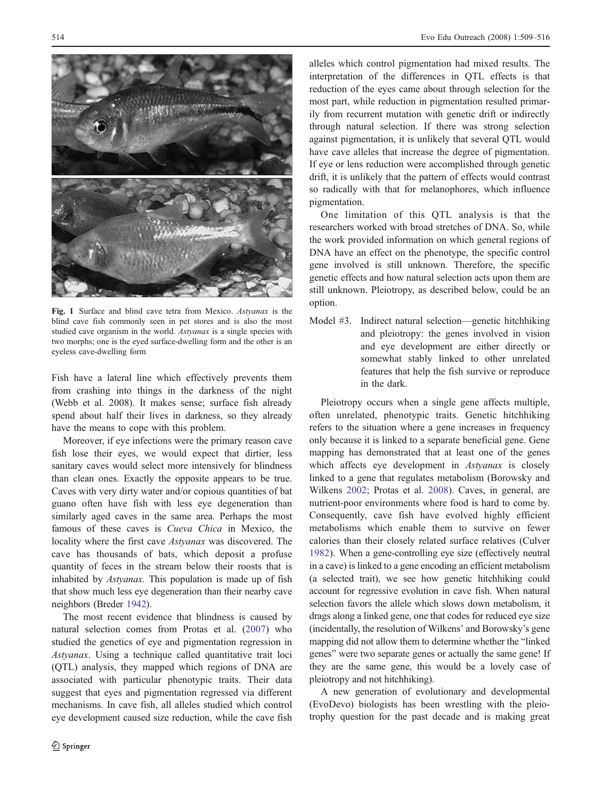<span id="page-5-0"></span>

Fig. 1 Surface and blind cave tetra from Mexico. Astyanax is the blind cave fish commonly seen in pet stores and is also the most studied cave organism in the world. Astyanax is a single species with two morphs; one is the eyed surface-dwelling form and the other is an eyeless cave-dwelling form

Fish have a lateral line which effectively prevents them from crashing into things in the darkness of the night (Webb et al. 2008). It makes sense; surface fish already spend about half their lives in darkness, so they already have the means to cope with this problem.

Moreover, if eye infections were the primary reason cave fish lose their eyes, we would expect that dirtier, less sanitary caves would select more intensively for blindness than clean ones. Exactly the opposite appears to be true. Caves with very dirty water and/or copious quantities of bat guano often have fish with less eye degeneration than similarly aged caves in the same area. Perhaps the most famous of these caves is Cueva Chica in Mexico, the locality where the first cave Astyanax was discovered. The cave has thousands of bats, which deposit a profuse quantity of feces in the stream below their roosts that is inhabited by Astyanax. This population is made up of fish that show much less eye degeneration than their nearby cave neighbors (Breder [1942\)](#page-6-0).

The most recent evidence that blindness is caused by natural selection comes from Protas et al. ([2007\)](#page-7-0) who studied the genetics of eye and pigmentation regression in Astyanax. Using a technique called quantitative trait loci (QTL) analysis, they mapped which regions of DNA are associated with particular phenotypic traits. Their data suggest that eyes and pigmentation regressed via different mechanisms. In cave fish, all alleles studied which control eye development caused size reduction, while the cave fish

alleles which control pigmentation had mixed results. The interpretation of the differences in QTL effects is that reduction of the eyes came about through selection for the most part, while reduction in pigmentation resulted primarily from recurrent mutation with genetic drift or indirectly through natural selection. If there was strong selection against pigmentation, it is unlikely that several QTL would have cave alleles that increase the degree of pigmentation. If eye or lens reduction were accomplished through genetic drift, it is unlikely that the pattern of effects would contrast so radically with that for melanophores, which influence pigmentation.

One limitation of this QTL analysis is that the researchers worked with broad stretches of DNA. So, while the work provided information on which general regions of DNA have an effect on the phenotype, the specific control gene involved is still unknown. Therefore, the specific genetic effects and how natural selection acts upon them are still unknown. Pleiotropy, as described below, could be an option.

Model #3. Indirect natural selection—genetic hitchhiking and pleiotropy: the genes involved in vision and eye development are either directly or somewhat stably linked to other unrelated features that help the fish survive or reproduce in the dark.

Pleiotropy occurs when a single gene affects multiple, often unrelated, phenotypic traits. Genetic hitchhiking refers to the situation where a gene increases in frequency only because it is linked to a separate beneficial gene. Gene mapping has demonstrated that at least one of the genes which affects eye development in *Astyanax* is closely linked to a gene that regulates metabolism (Borowsky and Wilkens [2002;](#page-6-0) Protas et al. [2008\)](#page-7-0). Caves, in general, are nutrient-poor environments where food is hard to come by. Consequently, cave fish have evolved highly efficient metabolisms which enable them to survive on fewer calories than their closely related surface relatives (Culver [1982](#page-6-0)). When a gene-controlling eye size (effectively neutral in a cave) is linked to a gene encoding an efficient metabolism (a selected trait), we see how genetic hitchhiking could account for regressive evolution in cave fish. When natural selection favors the allele which slows down metabolism, it drags along a linked gene, one that codes for reduced eye size (incidentally, the resolution of Wilkens' and Borowsky's gene mapping did not allow them to determine whether the "linked genes" were two separate genes or actually the same gene! If they are the same gene, this would be a lovely case of pleiotropy and not hitchhiking).

A new generation of evolutionary and developmental (EvoDevo) biologists has been wrestling with the pleiotrophy question for the past decade and is making great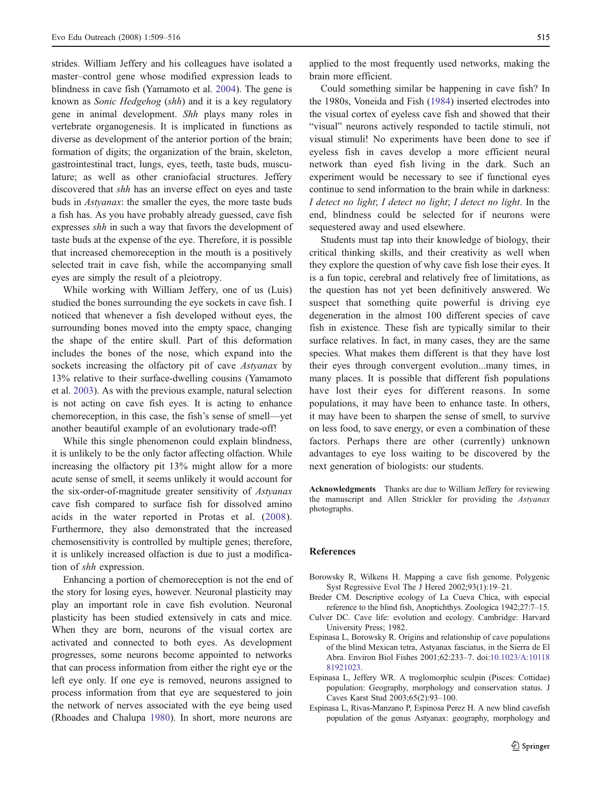<span id="page-6-0"></span>strides. William Jeffery and his colleagues have isolated a master–control gene whose modified expression leads to blindness in cave fish (Yamamoto et al. [2004](#page-7-0)). The gene is known as Sonic Hedgehog (shh) and it is a key regulatory gene in animal development. Shh plays many roles in vertebrate organogenesis. It is implicated in functions as diverse as development of the anterior portion of the brain; formation of digits; the organization of the brain, skeleton, gastrointestinal tract, lungs, eyes, teeth, taste buds, musculature; as well as other craniofacial structures. Jeffery discovered that shh has an inverse effect on eyes and taste buds in Astyanax: the smaller the eyes, the more taste buds a fish has. As you have probably already guessed, cave fish expresses shh in such a way that favors the development of taste buds at the expense of the eye. Therefore, it is possible that increased chemoreception in the mouth is a positively selected trait in cave fish, while the accompanying small eyes are simply the result of a pleiotropy.

While working with William Jeffery, one of us (Luis) studied the bones surrounding the eye sockets in cave fish. I noticed that whenever a fish developed without eyes, the surrounding bones moved into the empty space, changing the shape of the entire skull. Part of this deformation includes the bones of the nose, which expand into the sockets increasing the olfactory pit of cave Astyanax by 13% relative to their surface-dwelling cousins (Yamamoto et al. [2003\)](#page-7-0). As with the previous example, natural selection is not acting on cave fish eyes. It is acting to enhance chemoreception, in this case, the fish's sense of smell—yet another beautiful example of an evolutionary trade-off!

While this single phenomenon could explain blindness, it is unlikely to be the only factor affecting olfaction. While increasing the olfactory pit 13% might allow for a more acute sense of smell, it seems unlikely it would account for the six-order-of-magnitude greater sensitivity of Astyanax cave fish compared to surface fish for dissolved amino acids in the water reported in Protas et al. ([2008](#page-7-0)). Furthermore, they also demonstrated that the increased chemosensitivity is controlled by multiple genes; therefore, it is unlikely increased olfaction is due to just a modification of shh expression.

Enhancing a portion of chemoreception is not the end of the story for losing eyes, however. Neuronal plasticity may play an important role in cave fish evolution. Neuronal plasticity has been studied extensively in cats and mice. When they are born, neurons of the visual cortex are activated and connected to both eyes. As development progresses, some neurons become appointed to networks that can process information from either the right eye or the left eye only. If one eye is removed, neurons assigned to process information from that eye are sequestered to join the network of nerves associated with the eye being used (Rhoades and Chalupa [1980](#page-7-0)). In short, more neurons are

applied to the most frequently used networks, making the brain more efficient.

Could something similar be happening in cave fish? In the 1980s, Voneida and Fish ([1984\)](#page-7-0) inserted electrodes into the visual cortex of eyeless cave fish and showed that their "visual" neurons actively responded to tactile stimuli, not visual stimuli! No experiments have been done to see if eyeless fish in caves develop a more efficient neural network than eyed fish living in the dark. Such an experiment would be necessary to see if functional eyes continue to send information to the brain while in darkness: I detect no light; I detect no light; I detect no light. In the end, blindness could be selected for if neurons were sequestered away and used elsewhere.

Students must tap into their knowledge of biology, their critical thinking skills, and their creativity as well when they explore the question of why cave fish lose their eyes. It is a fun topic, cerebral and relatively free of limitations, as the question has not yet been definitively answered. We suspect that something quite powerful is driving eye degeneration in the almost 100 different species of cave fish in existence. These fish are typically similar to their surface relatives. In fact, in many cases, they are the same species. What makes them different is that they have lost their eyes through convergent evolution...many times, in many places. It is possible that different fish populations have lost their eyes for different reasons. In some populations, it may have been to enhance taste. In others, it may have been to sharpen the sense of smell, to survive on less food, to save energy, or even a combination of these factors. Perhaps there are other (currently) unknown advantages to eye loss waiting to be discovered by the next generation of biologists: our students.

Acknowledgments Thanks are due to William Jeffery for reviewing the manuscript and Allen Strickler for providing the Astyanax photographs.

## References

- Borowsky R, Wilkens H. Mapping a cave fish genome. Polygenic Syst Regressive Evol The J Hered 2002;93(1):19–21.
- Breder CM. Descriptive ecology of La Cueva Chica, with especial reference to the blind fish, Anoptichthys. Zoologica 1942;27:7–15.
- Culver DC. Cave life: evolution and ecology. Cambridge: Harvard University Press; 1982.
- Espinasa L, Borowsky R. Origins and relationship of cave populations of the blind Mexican tetra, Astyanax fasciatus, in the Sierra de El Abra. Environ Biol Fishes 2001;62:233–7. doi[:10.1023/A:10118](http://dx.doi.org/10.1023/A:1011881921023) [81921023.](http://dx.doi.org/10.1023/A:1011881921023)
- Espinasa L, Jeffery WR. A troglomorphic sculpin (Pisces: Cottidae) population: Geography, morphology and conservation status. J Caves Karst Stud 2003;65(2):93–100.
- Espinasa L, Rivas-Manzano P, Espinosa Perez H. A new blind cavefish population of the genus Astyanax: geography, morphology and